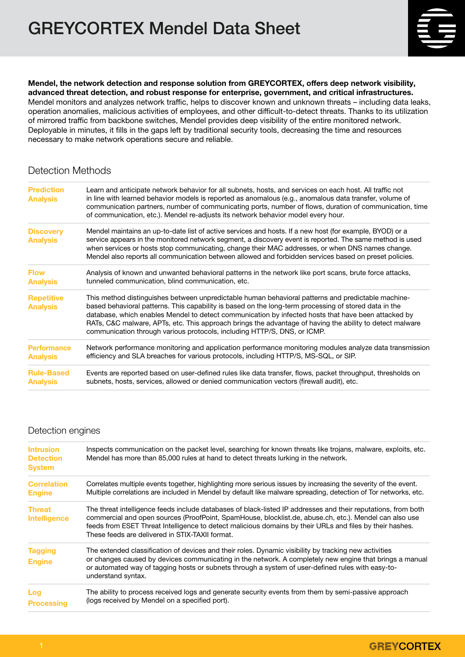

Mendel, the network detection and response solution from GREYCORTEX, offers deep network visibility, advanced threat detection, and robust response for enterprise, government, and critical infrastructures. Mendel monitors and analyzes network traffic, helps to discover known and unknown threats – including data leaks, operation anomalies, malicious activities of employees, and other difficult-to-detect threats. Thanks to its utilization of mirrored traffic from backbone switches, Mendel provides deep visibility of the entire monitored network. Deployable in minutes, it fills in the gaps left by traditional security tools, decreasing the time and resources necessary to make network operations secure and reliable.

# Detection Methods

| <b>Prediction</b><br><b>Analysis</b> | Learn and anticipate network behavior for all subnets, hosts, and services on each host. All traffic not<br>in line with learned behavior models is reported as anomalous (e.g., anomalous data transfer, volume of<br>communication partners, number of communicating ports, number of flows, duration of communication, time<br>of communication, etc.). Mendel re-adjusts its network behavior model every hour.                                                                                        |  |
|--------------------------------------|------------------------------------------------------------------------------------------------------------------------------------------------------------------------------------------------------------------------------------------------------------------------------------------------------------------------------------------------------------------------------------------------------------------------------------------------------------------------------------------------------------|--|
| <b>Discovery</b><br><b>Analysis</b>  | Mendel maintains an up-to-date list of active services and hosts. If a new host (for example, BYOD) or a<br>service appears in the monitored network segment, a discovery event is reported. The same method is used<br>when services or hosts stop communicating, change their MAC addresses, or when DNS names change.<br>Mendel also reports all communication between allowed and forbidden services based on preset policies.                                                                         |  |
| <b>Flow</b>                          | Analysis of known and unwanted behavioral patterns in the network like port scans, brute force attacks,                                                                                                                                                                                                                                                                                                                                                                                                    |  |
| <b>Analysis</b>                      | tunneled communication, blind communication, etc.                                                                                                                                                                                                                                                                                                                                                                                                                                                          |  |
| <b>Repetitive</b><br><b>Analysis</b> | This method distinguishes between unpredictable human behavioral patterns and predictable machine-<br>based behavioral patterns. This capability is based on the long-term processing of stored data in the<br>database, which enables Mendel to detect communication by infected hosts that have been attacked by<br>RATs, C&C malware, APTs, etc. This approach brings the advantage of having the ability to detect malware<br>communication through various protocols, including HTTP/S, DNS, or ICMP. |  |
| <b>Performance</b>                   | Network performance monitoring and application performance monitoring modules analyze data transmission                                                                                                                                                                                                                                                                                                                                                                                                    |  |
| <b>Analysis</b>                      | efficiency and SLA breaches for various protocols, including HTTP/S, MS-SQL, or SIP.                                                                                                                                                                                                                                                                                                                                                                                                                       |  |
| <b>Rule-Based</b>                    | Events are reported based on user-defined rules like data transfer, flows, packet throughput, thresholds on                                                                                                                                                                                                                                                                                                                                                                                                |  |
| <b>Analysis</b>                      | subnets, hosts, services, allowed or denied communication vectors (firewall audit), etc.                                                                                                                                                                                                                                                                                                                                                                                                                   |  |

### Detection engines

| <b>Intrusion</b><br><b>Detection</b><br><b>System</b> | Inspects communication on the packet level, searching for known threats like trojans, malware, exploits, etc.<br>Mendel has more than 85,000 rules at hand to detect threats lurking in the network.                                                                                                                                                                                   |  |
|-------------------------------------------------------|----------------------------------------------------------------------------------------------------------------------------------------------------------------------------------------------------------------------------------------------------------------------------------------------------------------------------------------------------------------------------------------|--|
| <b>Correlation</b><br><b>Engine</b>                   | Correlates multiple events together, highlighting more serious issues by increasing the severity of the event.<br>Multiple correlations are included in Mendel by default like malware spreading, detection of Tor networks, etc.                                                                                                                                                      |  |
| <b>Threat</b><br><b>Intelligence</b>                  | The threat intelligence feeds include databases of black-listed IP addresses and their reputations, from both<br>commercial and open sources (ProofPoint, SpamHouse, blocklist.de, abuse.ch, etc.). Mendel can also use<br>feeds from ESET Threat Intelligence to detect malicious domains by their URLs and files by their hashes.<br>These feeds are delivered in STIX-TAXII format. |  |
| <b>Tagging</b>                                        | The extended classification of devices and their roles. Dynamic visibility by tracking new activities                                                                                                                                                                                                                                                                                  |  |
| <b>Engine</b>                                         | or changes caused by devices communicating in the network. A completely new engine that brings a manual<br>or automated way of tagging hosts or subnets through a system of user-defined rules with easy-to-<br>understand syntax.                                                                                                                                                     |  |
| Log<br><b>Processing</b>                              | The ability to process received logs and generate security events from them by semi-passive approach<br>(logs received by Mendel on a specified port).                                                                                                                                                                                                                                 |  |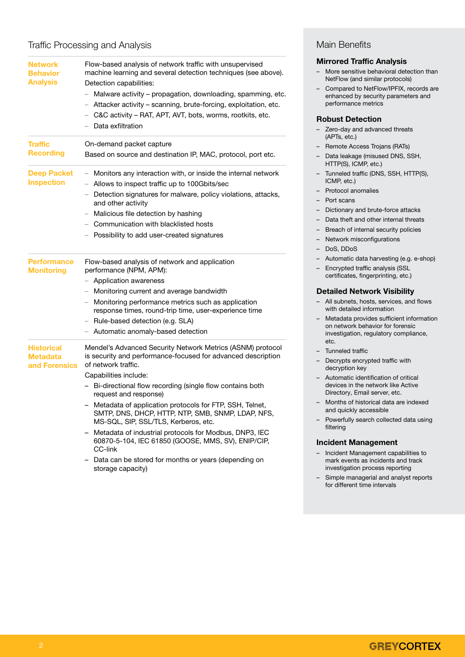## Traffic Processing and Analysis

| <b>Network</b>                          | Flow-based analysis of network traffic with unsupervised                                                                           | <b>Mirrored Traffic Analysis</b>                                                                               |
|-----------------------------------------|------------------------------------------------------------------------------------------------------------------------------------|----------------------------------------------------------------------------------------------------------------|
| <b>Behavior</b><br><b>Analysis</b>      | machine learning and several detection techniques (see above).<br>Detection capabilities:                                          | More sensitive behavioral detection than<br>NetFlow (and similar protocols)                                    |
|                                         | - Malware activity - propagation, downloading, spamming, etc.<br>- Attacker activity - scanning, brute-forcing, exploitation, etc. | Compared to NetFlow/IPFIX, records are<br>enhanced by security parameters and<br>performance metrics           |
|                                         | C&C activity – RAT, APT, AVT, bots, worms, rootkits, etc.                                                                          | <b>Robust Detection</b>                                                                                        |
|                                         | Data exfiltration                                                                                                                  | - Zero-day and advanced threats<br>(APTs, etc.)                                                                |
| <b>Traffic</b>                          | On-demand packet capture                                                                                                           | Remote Access Trojans (RATs)                                                                                   |
| <b>Recording</b>                        | Based on source and destination IP, MAC, protocol, port etc.                                                                       | Data leakage (misused DNS, SSH,<br>HTTP(S), ICMP, etc.)                                                        |
| <b>Deep Packet</b><br><b>Inspection</b> | - Monitors any interaction with, or inside the internal network<br>- Allows to inspect traffic up to 100Gbits/sec                  | - Tunneled traffic (DNS, SSH, HTTP(S),<br>ICMP, etc.)                                                          |
|                                         | Detection signatures for malware, policy violations, attacks,                                                                      | <b>Protocol anomalies</b>                                                                                      |
|                                         | and other activity                                                                                                                 | Port scans                                                                                                     |
|                                         | Malicious file detection by hashing<br>-                                                                                           | Dictionary and brute-force attacks                                                                             |
|                                         | Communication with blacklisted hosts                                                                                               | Data theft and other internal threats                                                                          |
|                                         | Possibility to add user-created signatures                                                                                         | Breach of internal security policies                                                                           |
|                                         |                                                                                                                                    | Network misconfigurations                                                                                      |
|                                         |                                                                                                                                    | DoS, DDoS                                                                                                      |
| <b>Performance</b><br><b>Monitoring</b> | Flow-based analysis of network and application<br>performance (NPM, APM):                                                          | Automatic data harvesting (e.g. e-shop)<br>Encrypted traffic analysis (SSL                                     |
|                                         | - Application awareness                                                                                                            | certificates, fingerprinting, etc.)                                                                            |
|                                         | - Monitoring current and average bandwidth                                                                                         | <b>Detailed Network Visibility</b>                                                                             |
|                                         | Monitoring performance metrics such as application<br>response times, round-trip time, user-experience time                        | - All subnets, hosts, services, and flows<br>with detailed information                                         |
|                                         | - Rule-based detection (e.g. SLA)                                                                                                  | Metadata provides sufficient information                                                                       |
|                                         | - Automatic anomaly-based detection                                                                                                | on network behavior for forensic<br>investigation, regulatory compliance,<br>etc.                              |
| <b>Historical</b>                       | Mendel's Advanced Security Network Metrics (ASNM) protocol                                                                         | - Tunneled traffic                                                                                             |
| <b>Metadata</b><br>and Forensics        | is security and performance-focused for advanced description<br>of network traffic.                                                | - Decrypts encrypted traffic with<br>decryption key                                                            |
|                                         | Capabilities include:                                                                                                              | Automatic identification of critical                                                                           |
|                                         | - Bi-directional flow recording (single flow contains both<br>request and response)                                                | devices in the network like Active<br>Directory, Email server, etc.                                            |
|                                         | - Metadata of application protocols for FTP, SSH, Telnet,<br>SMTP, DNS, DHCP, HTTP, NTP, SMB, SNMP, LDAP, NFS,                     | - Months of historical data are indexed<br>and quickly accessible                                              |
|                                         | MS-SQL, SIP, SSL/TLS, Kerberos, etc.<br>Metadata of industrial protocols for Modbus, DNP3, IEC                                     | - Powerfully search collected data using<br>filtering                                                          |
|                                         | 60870-5-104, IEC 61850 (GOOSE, MMS, SV), ENIP/CIP,<br>CC-link                                                                      | <b>Incident Management</b>                                                                                     |
|                                         | Data can be stored for months or years (depending on<br>storage capacity)                                                          | - Incident Management capabilities to<br>mark events as incidents and track<br>investigation process reporting |
|                                         |                                                                                                                                    | - Simple managerial and analyst reports<br>for different time intervals                                        |

Main Benefits